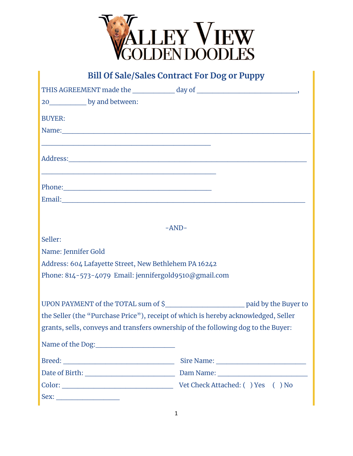

# **Bill Of Sale/Sales Contract For Dog or Puppy**

| 20______________ by and between:                                                   |         |  |
|------------------------------------------------------------------------------------|---------|--|
| <b>BUYER:</b>                                                                      |         |  |
|                                                                                    |         |  |
|                                                                                    |         |  |
|                                                                                    |         |  |
|                                                                                    |         |  |
| Phone:                                                                             |         |  |
|                                                                                    |         |  |
|                                                                                    |         |  |
|                                                                                    | $-AND-$ |  |
| Seller:                                                                            |         |  |
| Name: Jennifer Gold                                                                |         |  |
| Address: 604 Lafayette Street, New Bethlehem PA 16242                              |         |  |
| Phone: 814-573-4079 Email: jennifergold9510@gmail.com                              |         |  |
|                                                                                    |         |  |
|                                                                                    |         |  |
| the Seller (the "Purchase Price"), receipt of which is hereby acknowledged, Seller |         |  |
| grants, sells, conveys and transfers ownership of the following dog to the Buyer:  |         |  |
|                                                                                    |         |  |
|                                                                                    |         |  |
|                                                                                    |         |  |
|                                                                                    |         |  |
|                                                                                    |         |  |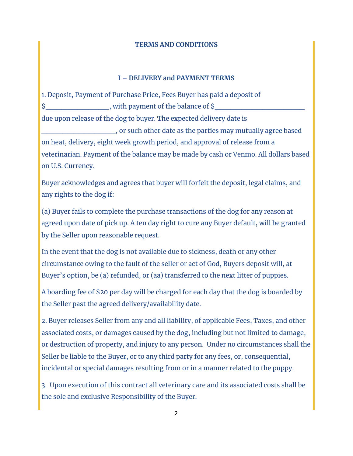#### **TERMS AND CONDITIONS**

### **I – DELIVERY and PAYMENT TERMS**

1. Deposit, Payment of Purchase Price, Fees Buyer has paid a deposit of \$ with payment of the balance of \$ due upon release of the dog to buyer. The expected delivery date is \_\_\_\_\_\_\_\_\_\_\_\_\_\_, or such other date as the parties may mutually agree based on heat, delivery, eight week growth period, and approval of release from a veterinarian. Payment of the balance may be made by cash or Venmo. All dollars based on U.S. Currency.

Buyer acknowledges and agrees that buyer will forfeit the deposit, legal claims, and any rights to the dog if:

(a) Buyer fails to complete the purchase transactions of the dog for any reason at agreed upon date of pick up. A ten day right to cure any Buyer default, will be granted by the Seller upon reasonable request.

In the event that the dog is not available due to sickness, death or any other circumstance owing to the fault of the seller or act of God, Buyers deposit will, at Buyer's option, be (a) refunded, or (aa) transferred to the next litter of puppies.

A boarding fee of \$20 per day will be charged for each day that the dog is boarded by the Seller past the agreed delivery/availability date.

2. Buyer releases Seller from any and all liability, of applicable Fees, Taxes, and other associated costs, or damages caused by the dog, including but not limited to damage, or destruction of property, and injury to any person. Under no circumstances shall the Seller be liable to the Buyer, or to any third party for any fees, or, consequential, incidental or special damages resulting from or in a manner related to the puppy.

3. Upon execution of this contract all veterinary care and its associated costs shall be the sole and exclusive Responsibility of the Buyer.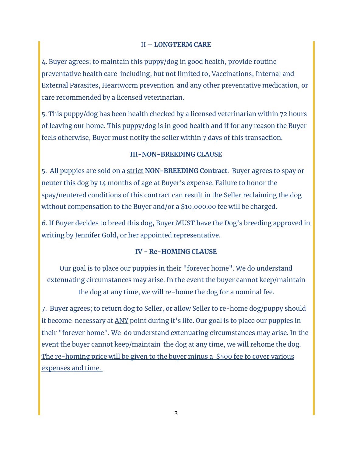## II – **LONGTERM CARE**

4. Buyer agrees; to maintain this puppy/dog in good health, provide routine preventative health care including, but not limited to, Vaccinations, Internal and External Parasites, Heartworm prevention and any other preventative medication, or care recommended by a licensed veterinarian.

5. This puppy/dog has been health checked by a licensed veterinarian within 72 hours of leaving our home. This puppy/dog is in good health and if for any reason the Buyer feels otherwise, Buyer must notify the seller within 7 days of this transaction.

#### **III-NON-BREEDING CLAUSE**

5. All puppies are sold on a strict **NON-BREEDING Contract**. Buyer agrees to spay or neuter this dog by 14 months of age at Buyer's expense. Failure to honor the spay/neutered conditions of this contract can result in the Seller reclaiming the dog without compensation to the Buyer and/or a \$10,000.00 fee will be charged.

6. If Buyer decides to breed this dog, Buyer MUST have the Dog's breeding approved in writing by Jennifer Gold, or her appointed representative.

#### **IV - Re-HOMING CLAUSE**

Our goal is to place our puppies in their "forever home". We do understand extenuating circumstances may arise. In the event the buyer cannot keep/maintain the dog at any time, we will re-home the dog for a nominal fee.

7. Buyer agrees; to return dog to Seller, or allow Seller to re-home dog/puppy should it become necessary at ANY point during it's life. Our goal is to place our puppies in their "forever home". We do understand extenuating circumstances may arise. In the event the buyer cannot keep/maintain the dog at any time, we will rehome the dog. The re-homing price will be given to the buyer minus a \$500 fee to cover various expenses and time.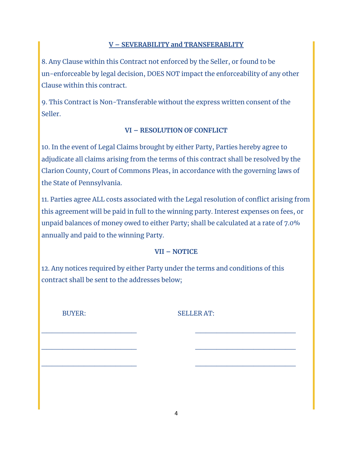## **V – SEVERABILITY and TRANSFERABLITY**

8. Any Clause within this Contract not enforced by the Seller, or found to be un-enforceable by legal decision, DOES NOT impact the enforceability of any other Clause within this contract.

9. This Contract is Non-Transferable without the express written consent of the Seller.

# **VI – RESOLUTION OF CONFLICT**

10. In the event of Legal Claims brought by either Party, Parties hereby agree to adjudicate all claims arising from the terms of this contract shall be resolved by the Clarion County, Court of Commons Pleas, in accordance with the governing laws of the State of Pennsylvania.

11. Parties agree ALL costs associated with the Legal resolution of conflict arising from this agreement will be paid in full to the winning party. Interest expenses on fees, or unpaid balances of money owed to either Party; shall be calculated at a rate of 7.0% annually and paid to the winning Party.

## **VII – NOTICE**

12. Any notices required by either Party under the terms and conditions of this contract shall be sent to the addresses below;

\_\_\_\_\_\_\_\_\_\_\_\_\_\_\_\_\_\_ \_\_\_\_\_\_\_\_\_\_\_\_\_\_\_\_\_\_\_

\_\_\_\_\_\_\_\_\_\_\_\_\_\_\_\_\_\_ \_\_\_\_\_\_\_\_\_\_\_\_\_\_\_\_\_\_\_

\_\_\_\_\_\_\_\_\_\_\_\_\_\_\_\_\_\_ \_\_\_\_\_\_\_\_\_\_\_\_\_\_\_\_\_\_\_

BUYER: SELLER AT: